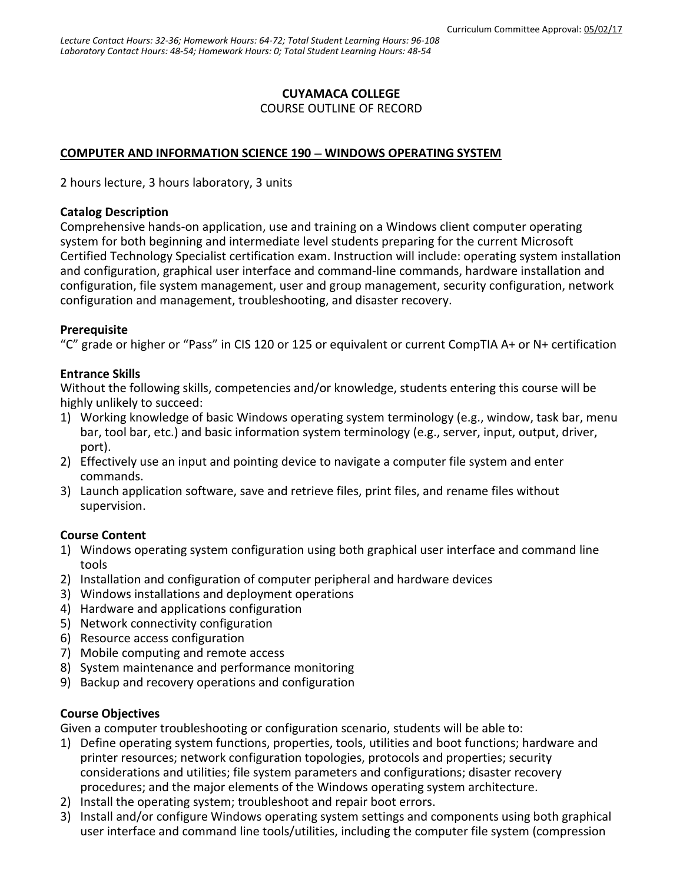### **CUYAMACA COLLEGE**

COURSE OUTLINE OF RECORD

### **COMPUTER AND INFORMATION SCIENCE 190 WINDOWS OPERATING SYSTEM**

2 hours lecture, 3 hours laboratory, 3 units

#### **Catalog Description**

Comprehensive hands-on application, use and training on a Windows client computer operating system for both beginning and intermediate level students preparing for the current Microsoft Certified Technology Specialist certification exam. Instruction will include: operating system installation and configuration, graphical user interface and command-line commands, hardware installation and configuration, file system management, user and group management, security configuration, network configuration and management, troubleshooting, and disaster recovery.

#### **Prerequisite**

"C" grade or higher or "Pass" in CIS 120 or 125 or equivalent or current CompTIA A+ or N+ certification

#### **Entrance Skills**

Without the following skills, competencies and/or knowledge, students entering this course will be highly unlikely to succeed:

- 1) Working knowledge of basic Windows operating system terminology (e.g., window, task bar, menu bar, tool bar, etc.) and basic information system terminology (e.g., server, input, output, driver, port).
- 2) Effectively use an input and pointing device to navigate a computer file system and enter commands.
- 3) Launch application software, save and retrieve files, print files, and rename files without supervision.

#### **Course Content**

- 1) Windows operating system configuration using both graphical user interface and command line tools
- 2) Installation and configuration of computer peripheral and hardware devices
- 3) Windows installations and deployment operations
- 4) Hardware and applications configuration
- 5) Network connectivity configuration
- 6) Resource access configuration
- 7) Mobile computing and remote access
- 8) System maintenance and performance monitoring
- 9) Backup and recovery operations and configuration

#### **Course Objectives**

Given a computer troubleshooting or configuration scenario, students will be able to:

- 1) Define operating system functions, properties, tools, utilities and boot functions; hardware and printer resources; network configuration topologies, protocols and properties; security considerations and utilities; file system parameters and configurations; disaster recovery procedures; and the major elements of the Windows operating system architecture.
- 2) Install the operating system; troubleshoot and repair boot errors.
- 3) Install and/or configure Windows operating system settings and components using both graphical user interface and command line tools/utilities, including the computer file system (compression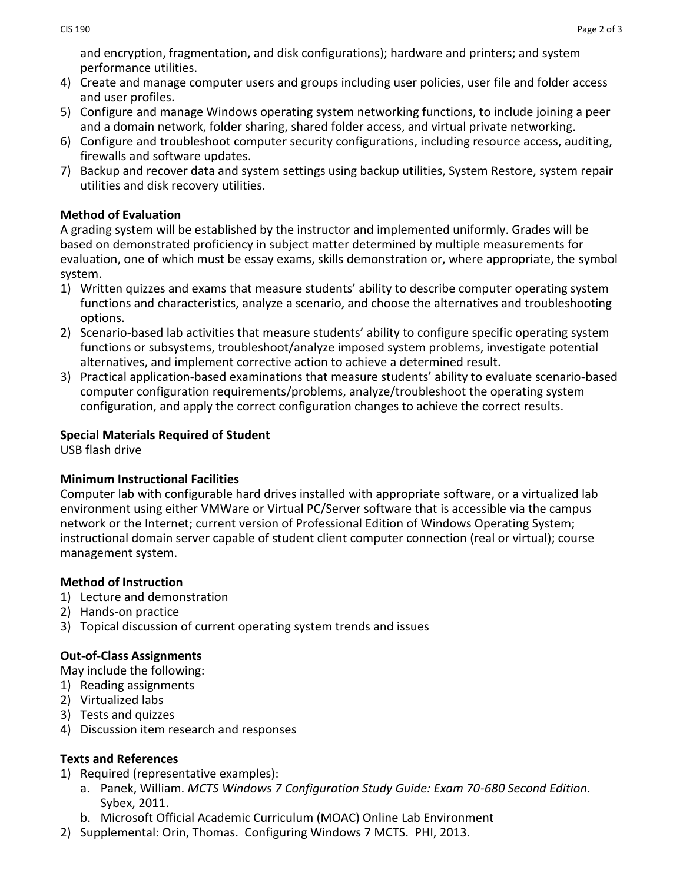and encryption, fragmentation, and disk configurations); hardware and printers; and system performance utilities.

- 4) Create and manage computer users and groups including user policies, user file and folder access and user profiles.
- 5) Configure and manage Windows operating system networking functions, to include joining a peer and a domain network, folder sharing, shared folder access, and virtual private networking.
- 6) Configure and troubleshoot computer security configurations, including resource access, auditing, firewalls and software updates.
- 7) Backup and recover data and system settings using backup utilities, System Restore, system repair utilities and disk recovery utilities.

### **Method of Evaluation**

A grading system will be established by the instructor and implemented uniformly. Grades will be based on demonstrated proficiency in subject matter determined by multiple measurements for evaluation, one of which must be essay exams, skills demonstration or, where appropriate, the symbol system.

- 1) Written quizzes and exams that measure students' ability to describe computer operating system functions and characteristics, analyze a scenario, and choose the alternatives and troubleshooting options.
- 2) Scenario-based lab activities that measure students' ability to configure specific operating system functions or subsystems, troubleshoot/analyze imposed system problems, investigate potential alternatives, and implement corrective action to achieve a determined result.
- 3) Practical application-based examinations that measure students' ability to evaluate scenario-based computer configuration requirements/problems, analyze/troubleshoot the operating system configuration, and apply the correct configuration changes to achieve the correct results.

## **Special Materials Required of Student**

USB flash drive

### **Minimum Instructional Facilities**

Computer lab with configurable hard drives installed with appropriate software, or a virtualized lab environment using either VMWare or Virtual PC/Server software that is accessible via the campus network or the Internet; current version of Professional Edition of Windows Operating System; instructional domain server capable of student client computer connection (real or virtual); course management system.

# **Method of Instruction**

- 1) Lecture and demonstration
- 2) Hands-on practice
- 3) Topical discussion of current operating system trends and issues

# **Out-of-Class Assignments**

May include the following:

- 1) Reading assignments
- 2) Virtualized labs
- 3) Tests and quizzes
- 4) Discussion item research and responses

# **Texts and References**

- 1) Required (representative examples):
	- a. Panek, William. *MCTS Windows 7 Configuration Study Guide: Exam 70-680 Second Edition*. Sybex, 2011.
	- b. Microsoft Official Academic Curriculum (MOAC) Online Lab Environment
- 2) Supplemental: Orin, Thomas. Configuring Windows 7 MCTS. PHI, 2013.